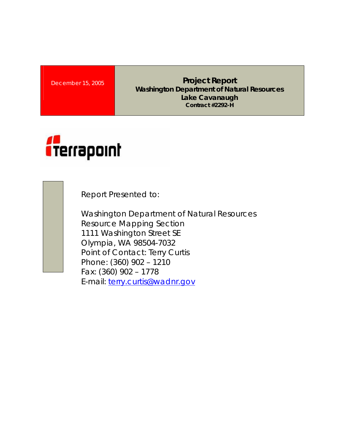#### **December 15, 2005 Washington Department of Natural Resources Lake Cavanaugh Contract #2292-H**



Report Presented to:

Washington Department of Natural Resources Resource Mapping Section 1111 Washington Street SE Olympia, WA 98504-7032 Point of Contact: Terry Curtis Phone: (360) 902 – 1210 Fax: (360) 902 – 1778 E-mail: [terry.curtis@wadnr.gov](mailto:terry.curtis@wadnr.gov)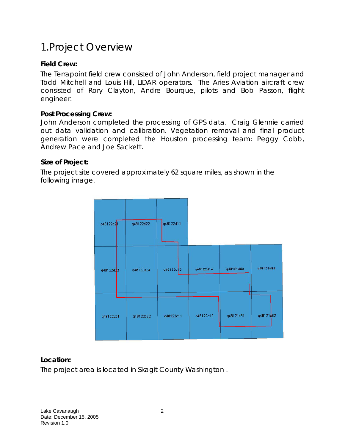# 1.Project Overview

#### **Field Crew:**

The Terrapoint field crew consisted of John Anderson, field project manager and Todd Mitchell and Louis Hill, LIDAR operators. The Aries Aviation aircraft crew consisted of Rory Clayton, Andre Bourque, pilots and Bob Passon, flight engineer.

#### **Post Processing Crew:**

John Anderson completed the processing of GPS data. Craig Glennie carried out data validation and calibration. Vegetation removal and final product generation were completed the Houston processing team: Peggy Cobb, Andrew Pace and Joe Sackett.

#### **Size of Project:**

The project site covered approximately 62 square miles, as shown in the following image.



#### **Location:**

The project area is located in Skagit County Washington .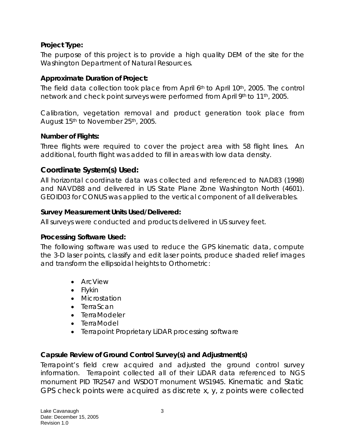#### **Project Type:**

The purpose of this project is to provide a high quality DEM of the site for the Washington Department of Natural Resources.

#### **Approximate Duration of Project:**

The field data collection took place from April 6<sup>th</sup> to April 10<sup>th</sup>, 2005. The control network and check point surveys were performed from April 9th to 11th, 2005.

Calibration, vegetation removal and product generation took place from August 15th to November 25th, 2005.

#### **Number of Flights:**

Three flights were required to cover the project area with 58 flight lines. An additional, fourth flight was added to fill in areas with low data density.

#### **Coordinate System(s) Used:**

All horizontal coordinate data was collected and referenced to NAD83 (1998) and NAVD88 and delivered in US State Plane Zone Washington North (4601). GEOID03 for CONUS was applied to the vertical component of all deliverables.

#### **Survey Measurement Units Used/Delivered:**

All surveys were conducted and products delivered in US survey feet.

#### **Processing Software Used:**

The following software was used to reduce the GPS kinematic data, compute the 3-D laser points, classify and edit laser points, produce shaded relief images and transform the ellipsoidal heights to Orthometric:

- ArcView
- Flykin
- Microstation
- TerraScan
- TerraModeler
- TerraModel
- Terrapoint Proprietary LiDAR processing software

#### **Capsule Review of Ground Control Survey(s) and Adjustment(s)**

Terrapoint's field crew acquired and adjusted the ground control survey information. Terrapoint collected all of their LiDAR data referenced to NGS monument PID TR2547 and WSDOT monument WS1945. Kinematic and Static GPS check points were acquired as discrete x, y, z points were collected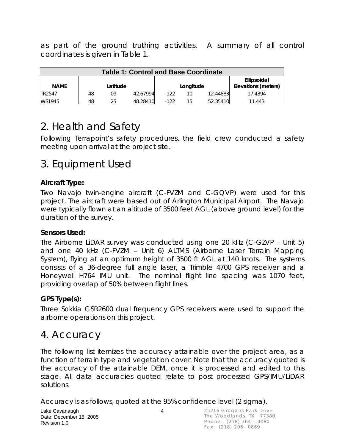as part of the ground truthing activities. A summary of all control coordinates is given in Table 1.

| <b>Table 1: Control and Base Coordinate</b> |    |          |          |        |           |          |                                    |
|---------------------------------------------|----|----------|----------|--------|-----------|----------|------------------------------------|
| <b>NAME</b>                                 |    | Latitude |          |        | Longitude |          | Ellipsoidal<br>Elevations (meters) |
| TR2547                                      | 48 | 09       | 42.67994 | $-122$ | 10        | 12.44883 | 17.4394                            |
| WS1945                                      | 48 | 25       | 48.28410 | $-122$ | 15        | 52.35410 | 11.443                             |

# 2. Health and Safety

Following Terrapoint's safety procedures, the field crew conducted a safety meeting upon arrival at the project site.

# 3. Equipment Used

#### **Aircraft Type:**

Two Navajo twin-engine aircraft (C-FVZM and C-GQVP) were used for this project. The aircraft were based out of Arlington Municipal Airport. The Navajo were typically flown at an altitude of 3500 feet AGL (above ground level) for the duration of the survey.

#### **Sensors Used:**

The Airborne LiDAR survey was conducted using one 20 kHz (C-GZVP – Unit 5) and one 40 kHz (C-FVZM – Unit 6) ALTMS (Airborne Laser Terrain Mapping System), flying at an optimum height of 3500 ft AGL at 140 knots. The systems consists of a 36-degree full angle laser, a Trimble 4700 GPS receiver and a Honeywell H764 IMU unit. The nominal flight line spacing was 1070 feet, providing overlap of 50% between flight lines.

#### **GPS Type(s):**

Three Sokkia GSR2600 dual frequency GPS receivers were used to support the airborne operations on this project.

### 4. Accuracy

The following list itemizes the accuracy attainable over the project area, as a function of terrain type and vegetation cover. Note that the accuracy quoted is the accuracy of the attainable DEM, once it is processed and edited to this stage. All data accuracies quoted relate to post processed GPS/IMU/LiDAR solutions.

Accuracy is as follows, quoted at the 95% confidence level (2 sigma),

| Lake Cavanaugh          |  |
|-------------------------|--|
| Date: December 15, 2005 |  |
| Revision 1.0            |  |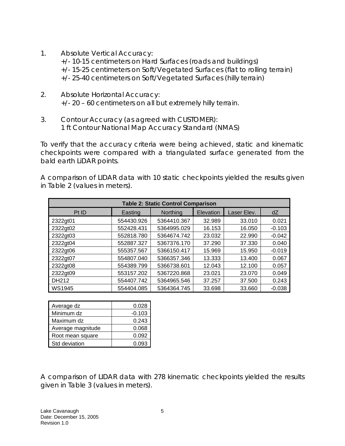- 1. Absolute Vertical Accuracy: +/- 10-15 centimeters on Hard Surfaces (roads and buildings) +/- 15-25 centimeters on Soft/Vegetated Surfaces (flat to rolling terrain) +/- 25-40 centimeters on Soft/Vegetated Surfaces (hilly terrain)
- 2. Absolute Horizontal Accuracy: +/- 20 – 60 centimeters on all but extremely hilly terrain.
- 3. Contour Accuracy (as agreed with CUSTOMER): 1 ft Contour National Map Accuracy Standard (NMAS)

To verify that the accuracy criteria were being achieved, static and kinematic checkpoints were compared with a triangulated surface generated from the bald earth LiDAR points.

A comparison of LIDAR data with 10 static checkpoints yielded the results given in Table 2 (values in meters).

| <b>Table 2: Static Control Comparison</b> |            |                 |           |             |          |
|-------------------------------------------|------------|-----------------|-----------|-------------|----------|
| Pt ID                                     | Easting    | <b>Northing</b> | Elevation | Laser Elev. | dZ       |
| 2322gt01                                  | 554430.926 | 5364410.367     | 32.989    | 33.010      | 0.021    |
| 2322gt02                                  | 552428.431 | 5364995.029     | 16.153    | 16.050      | $-0.103$ |
| 2322gt03                                  | 552818.780 | 5364674.742     | 23.032    | 22.990      | $-0.042$ |
| 2322gt04                                  | 552887.327 | 5367376.170     | 37.290    | 37.330      | 0.040    |
| 2322gt06                                  | 555357.567 | 5366150.417     | 15.969    | 15.950      | $-0.019$ |
| 2322gt07                                  | 554807.040 | 5366357.346     | 13.333    | 13.400      | 0.067    |
| 2322gt08                                  | 554389.799 | 5366738.601     | 12.043    | 12.100      | 0.057    |
| 2322gt09                                  | 553157.202 | 5367220.868     | 23.021    | 23.070      | 0.049    |
| DH212                                     | 554407.742 | 5364965.546     | 37.257    | 37.500      | 0.243    |
| <b>WS1945</b>                             | 554404.085 | 5364364.745     | 33.698    | 33.660      | $-0.038$ |

| Average dz        | 0.028    |
|-------------------|----------|
| Minimum dz        | $-0.103$ |
| Maximum dz        | 0.243    |
| Average magnitude | 0.068    |
| Root mean square  | 0.092    |
| Std deviation     | 0.093    |

A comparison of LIDAR data with 278 kinematic checkpoints yielded the results given in Table 3 (values in meters).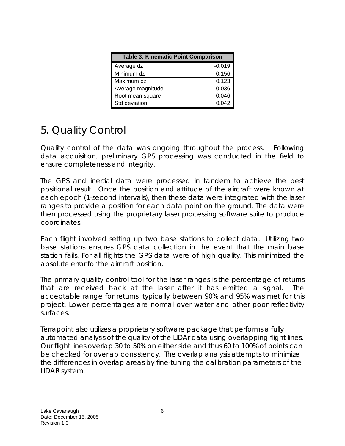| <b>Table 3: Kinematic Point Comparison</b> |          |  |
|--------------------------------------------|----------|--|
| Average dz                                 | $-0.019$ |  |
| Minimum dz                                 | $-0.156$ |  |
| Maximum dz                                 | 0.123    |  |
| Average magnitude                          | 0.036    |  |
| Root mean square                           | 0.046    |  |
| Std deviation                              | 0.042    |  |

### 5. Quality Control

Quality control of the data was ongoing throughout the process. Following data acquisition, preliminary GPS processing was conducted in the field to ensure completeness and integrity.

The GPS and inertial data were processed in tandem to achieve the best positional result. Once the position and attitude of the aircraft were known at each epoch (1-second intervals), then these data were integrated with the laser ranges to provide a position for each data point on the ground. The data were then processed using the proprietary laser processing software suite to produce coordinates.

Each flight involved setting up two base stations to collect data. Utilizing two base stations ensures GPS data collection in the event that the main base station fails. For all flights the GPS data were of high quality. This minimized the absolute error for the aircraft position.

The primary quality control tool for the laser ranges is the percentage of returns that are received back at the laser after it has emitted a signal. The acceptable range for returns, typically between 90% and 95% was met for this project. Lower percentages are normal over water and other poor reflectivity surfaces.

Terrapoint also utilizes a proprietary software package that performs a fully automated analysis of the quality of the LIDAr data using overlapping flight lines. Our flight lines overlap 30 to 50% on either side and thus 60 to 100% of points can be checked for overlap consistency. The overlap analysis attempts to minimize the differences in overlap areas by fine-tuning the calibration parameters of the LIDAR system.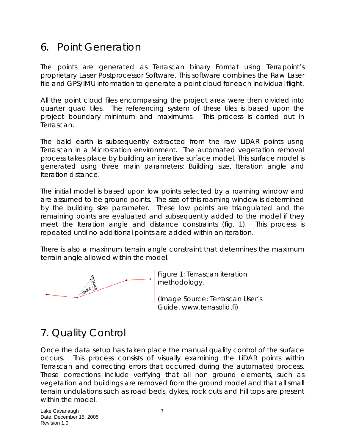### 6. Point Generation

The points are generated as Terrascan binary Format using Terrapoint's proprietary Laser Postprocessor Software. This software combines the Raw Laser file and GPS/IMU information to generate a point cloud for each individual flight.

All the point cloud files encompassing the project area were then divided into quarter quad tiles. The referencing system of these tiles is based upon the project boundary minimum and maximums. This process is carried out in Terrascan.

The bald earth is subsequently extracted from the raw LiDAR points using Terrascan in a Microstation environment. The automated vegetation removal process takes place by building an iterative surface model. This surface model is generated using three main parameters: Building size, Iteration angle and Iteration distance.

The initial model is based upon low points selected by a roaming window and are assumed to be ground points. The size of this roaming window is determined by the building size parameter. These low points are triangulated and the remaining points are evaluated and subsequently added to the model if they meet the Iteration angle and distance constraints (fig. 1). This process is repeated until no additional points are added within an iteration.

There is also a maximum terrain angle constraint that determines the maximum terrain angle allowed within the model.



Figure 1: Terrascan iteration methodology.

(Image Source: Terrascan User's Guide, www.terrasolid.fi)

# 7. Quality Control

Once the data setup has taken place the manual quality control of the surface occurs. This process consists of visually examining the LiDAR points within Terrascan and correcting errors that occurred during the automated process. These corrections include verifying that all non ground elements, such as vegetation and buildings are removed from the ground model and that all small terrain undulations such as road beds, dykes, rock cuts and hill tops are present within the model.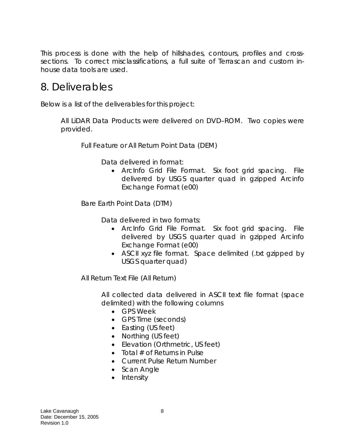This process is done with the help of hillshades, contours, profiles and crosssections. To correct misclassifications, a full suite of Terrascan and custom inhouse data tools are used.

### 8. Deliverables

Below is a list of the deliverables for this project:

All LiDAR Data Products were delivered on DVD–ROM. Two copies were provided.

Full Feature or All Return Point Data (DEM)

Data delivered in format:

• ArcInfo Grid File Format. Six foot grid spacing. File delivered by USGS quarter quad in gzipped Arcinfo Exchange Format (e00)

Bare Earth Point Data (DTM)

Data delivered in two formats:

- ArcInfo Grid File Format. Six foot grid spacing. File delivered by USGS quarter quad in gzipped Arcinfo Exchange Format (e00)
- ASCII xyz file format. Space delimited (.txt gzipped by USGS quarter quad)

All Return Text File (All Return)

All collected data delivered in ASCII text file format (space delimited) with the following columns

- GPS Week
- GPS Time (seconds)
- Easting (US feet)
- Northing (US feet)
- Elevation (Orthmetric, US feet)
- Total  $#$  of Returns in Pulse
- Current Pulse Return Number
- Scan Angle
- Intensity